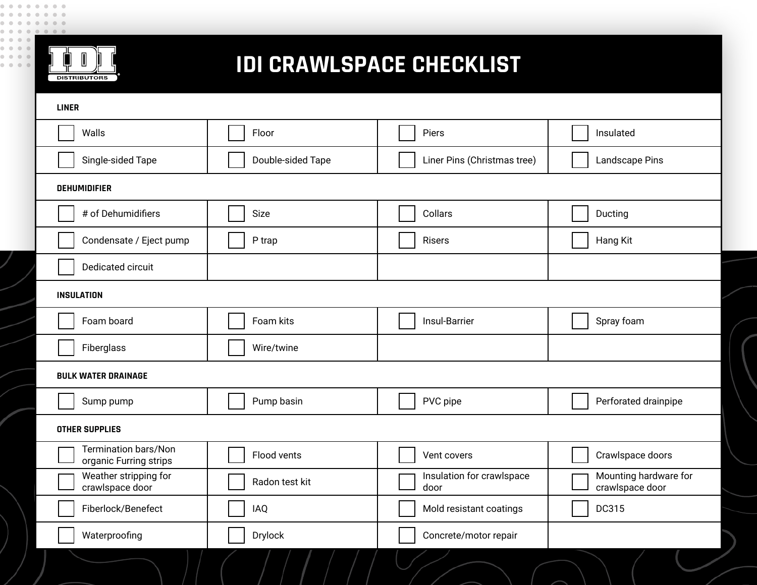

## **IDI CRAWLSPACE CHECKLIST**

| <b>LINER</b>                                          |                   |                                   |                                          |  |
|-------------------------------------------------------|-------------------|-----------------------------------|------------------------------------------|--|
| Walls                                                 | Floor             | Piers                             | Insulated                                |  |
| Single-sided Tape                                     | Double-sided Tape | Liner Pins (Christmas tree)       | Landscape Pins                           |  |
| <b>DEHUMIDIFIER</b>                                   |                   |                                   |                                          |  |
| # of Dehumidifiers                                    | Size              | Collars                           | Ducting                                  |  |
| Condensate / Eject pump                               | P trap            | Risers                            | Hang Kit                                 |  |
| Dedicated circuit                                     |                   |                                   |                                          |  |
| <b>INSULATION</b>                                     |                   |                                   |                                          |  |
| Foam board                                            | Foam kits         | Insul-Barrier                     | Spray foam                               |  |
| Fiberglass                                            | Wire/twine        |                                   |                                          |  |
| <b>BULK WATER DRAINAGE</b>                            |                   |                                   |                                          |  |
| Sump pump                                             | Pump basin        | PVC pipe                          | Perforated drainpipe                     |  |
| <b>OTHER SUPPLIES</b>                                 |                   |                                   |                                          |  |
| <b>Termination bars/Non</b><br>organic Furring strips | Flood vents       | Vent covers                       | Crawlspace doors                         |  |
| Weather stripping for<br>crawlspace door              | Radon test kit    | Insulation for crawlspace<br>door | Mounting hardware for<br>crawlspace door |  |
| Fiberlock/Benefect                                    | <b>IAQ</b>        | Mold resistant coatings           | DC315                                    |  |
| Waterproofing                                         | Drylock           | Concrete/motor repair             |                                          |  |
|                                                       |                   |                                   |                                          |  |